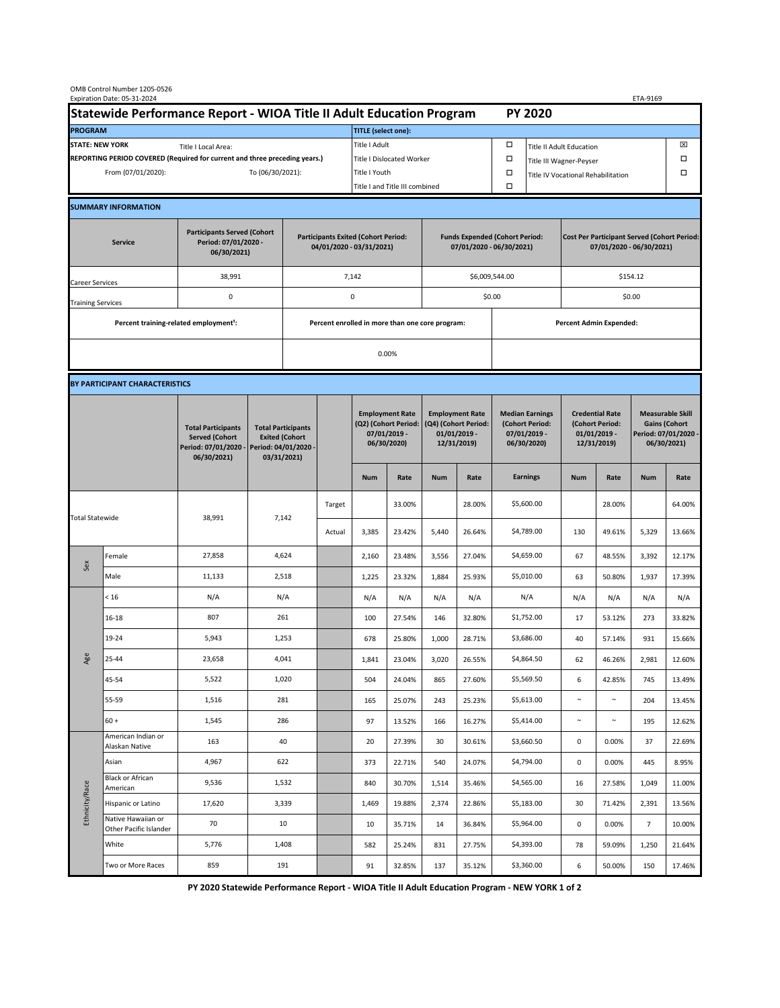| OMB Control Number 1205-0526<br>Expiration Date: 05-31-2024<br>ETA-9169                     |                                                    |                                                                                           |                                                                                           |                                                 |        |                                                                               |                                                                   |                                                                                 |                                              |                                                                            |                                                                                |                                                                            |        |                                                                                        |        |  |
|---------------------------------------------------------------------------------------------|----------------------------------------------------|-------------------------------------------------------------------------------------------|-------------------------------------------------------------------------------------------|-------------------------------------------------|--------|-------------------------------------------------------------------------------|-------------------------------------------------------------------|---------------------------------------------------------------------------------|----------------------------------------------|----------------------------------------------------------------------------|--------------------------------------------------------------------------------|----------------------------------------------------------------------------|--------|----------------------------------------------------------------------------------------|--------|--|
| Statewide Performance Report - WIOA Title II Adult Education Program                        |                                                    |                                                                                           |                                                                                           |                                                 |        |                                                                               |                                                                   |                                                                                 |                                              |                                                                            | <b>PY 2020</b>                                                                 |                                                                            |        |                                                                                        |        |  |
| <b>PROGRAM</b>                                                                              |                                                    |                                                                                           |                                                                                           |                                                 |        | <b>TITLE</b> (select one):                                                    |                                                                   |                                                                                 |                                              |                                                                            |                                                                                |                                                                            |        |                                                                                        |        |  |
| <b>STATE: NEW YORK</b><br>Title I Local Area:                                               |                                                    |                                                                                           |                                                                                           |                                                 |        | Title I Adult                                                                 |                                                                   |                                                                                 |                                              | □<br><b>Title II Adult Education</b>                                       |                                                                                |                                                                            |        |                                                                                        | ⊠      |  |
| REPORTING PERIOD COVERED (Required for current and three preceding years.)                  |                                                    |                                                                                           |                                                                                           |                                                 |        | Title I Dislocated Worker                                                     |                                                                   |                                                                                 |                                              | Ω                                                                          | □<br>Title III Wagner-Peyser                                                   |                                                                            |        |                                                                                        |        |  |
| To (06/30/2021):<br>From (07/01/2020):                                                      |                                                    |                                                                                           |                                                                                           | Title I Youth                                   |        |                                                                               |                                                                   |                                                                                 | $\Box$<br>Title IV Vocational Rehabilitation |                                                                            |                                                                                |                                                                            |        | □                                                                                      |        |  |
|                                                                                             |                                                    |                                                                                           |                                                                                           |                                                 |        | Title I and Title III combined                                                |                                                                   |                                                                                 |                                              |                                                                            |                                                                                |                                                                            |        |                                                                                        |        |  |
|                                                                                             | <b>SUMMARY INFORMATION</b>                         |                                                                                           |                                                                                           |                                                 |        |                                                                               |                                                                   |                                                                                 |                                              |                                                                            |                                                                                |                                                                            |        |                                                                                        |        |  |
| <b>Participants Served (Cohort</b><br>Period: 07/01/2020 -<br><b>Service</b><br>06/30/2021) |                                                    |                                                                                           | <b>Participants Exited (Cohort Period:</b><br>04/01/2020 - 03/31/2021)                    |                                                 |        |                                                                               | <b>Funds Expended (Cohort Period:</b><br>07/01/2020 - 06/30/2021) |                                                                                 |                                              |                                                                            | <b>Cost Per Participant Served (Cohort Period:</b><br>07/01/2020 - 06/30/2021) |                                                                            |        |                                                                                        |        |  |
| Career Services                                                                             |                                                    | 38,991                                                                                    |                                                                                           |                                                 |        | 7,142                                                                         |                                                                   |                                                                                 |                                              | \$6,009,544.00                                                             |                                                                                | \$154.12                                                                   |        |                                                                                        |        |  |
| <b>Training Services</b>                                                                    |                                                    | 0                                                                                         |                                                                                           | 0                                               |        |                                                                               |                                                                   |                                                                                 |                                              | \$0.00                                                                     |                                                                                | \$0.00                                                                     |        |                                                                                        |        |  |
|                                                                                             | Percent training-related employment <sup>1</sup> : |                                                                                           |                                                                                           | Percent enrolled in more than one core program: |        |                                                                               |                                                                   |                                                                                 |                                              |                                                                            |                                                                                | <b>Percent Admin Expended:</b>                                             |        |                                                                                        |        |  |
|                                                                                             |                                                    |                                                                                           |                                                                                           |                                                 |        |                                                                               | 0.00%                                                             |                                                                                 |                                              |                                                                            |                                                                                |                                                                            |        |                                                                                        |        |  |
|                                                                                             |                                                    |                                                                                           |                                                                                           |                                                 |        |                                                                               |                                                                   |                                                                                 |                                              |                                                                            |                                                                                |                                                                            |        |                                                                                        |        |  |
|                                                                                             | BY PARTICIPANT CHARACTERISTICS                     |                                                                                           |                                                                                           |                                                 |        |                                                                               |                                                                   |                                                                                 |                                              |                                                                            |                                                                                |                                                                            |        |                                                                                        |        |  |
|                                                                                             |                                                    | <b>Total Participants</b><br><b>Served (Cohort</b><br>Period: 07/01/2020 -<br>06/30/2021) | <b>Total Participants</b><br><b>Exited (Cohort</b><br>Period: 04/01/2020 -<br>03/31/2021) |                                                 |        | <b>Employment Rate</b><br>(Q2) (Cohort Period:<br>07/01/2019 -<br>06/30/2020) |                                                                   | <b>Employment Rate</b><br>(Q4) (Cohort Period:<br>$01/01/2019$ -<br>12/31/2019) |                                              | <b>Median Earnings</b><br>(Cohort Period:<br>$07/01/2019 -$<br>06/30/2020) |                                                                                | <b>Credential Rate</b><br>(Cohort Period:<br>$01/01/2019$ -<br>12/31/2019) |        | <b>Measurable Skill</b><br><b>Gains (Cohort</b><br>Period: 07/01/2020 -<br>06/30/2021) |        |  |
|                                                                                             |                                                    |                                                                                           |                                                                                           |                                                 |        | <b>Num</b>                                                                    | Rate                                                              | <b>Num</b>                                                                      | Rate                                         |                                                                            | <b>Earnings</b>                                                                | <b>Num</b>                                                                 | Rate   | <b>Num</b>                                                                             | Rate   |  |
| <b>Total Statewide</b>                                                                      |                                                    | 38,991                                                                                    | 7,142                                                                                     |                                                 | Target |                                                                               | 33.00%                                                            |                                                                                 | 28.00%                                       |                                                                            | \$5,600.00                                                                     |                                                                            | 28.00% |                                                                                        | 64.00% |  |
|                                                                                             |                                                    |                                                                                           |                                                                                           |                                                 | Actual | 3,385                                                                         | 23.42%                                                            | 5,440                                                                           | 26.64%                                       |                                                                            | \$4,789.00                                                                     | 130                                                                        | 49.61% | 5,329                                                                                  | 13.66% |  |
| Sex                                                                                         | Female                                             | 27,858                                                                                    | 4,624                                                                                     |                                                 |        | 2,160                                                                         | 23.48%                                                            | 3,556                                                                           | 27.04%                                       |                                                                            | \$4,659.00                                                                     | 67                                                                         | 48.55% | 3,392                                                                                  | 12.17% |  |
|                                                                                             | Male                                               | 11,133                                                                                    | 2,518                                                                                     |                                                 |        | 1,225                                                                         | 23.32%                                                            | 1,884                                                                           | 25.93%                                       |                                                                            | \$5,010.00                                                                     | 63                                                                         | 50.80% | 1,937                                                                                  | 17.39% |  |
| Age                                                                                         | < 16                                               | N/A                                                                                       | N/A                                                                                       |                                                 |        | N/A                                                                           | N/A                                                               | N/A                                                                             | N/A                                          |                                                                            | N/A                                                                            | N/A                                                                        | N/A    | N/A                                                                                    | N/A    |  |
|                                                                                             | $16 - 18$                                          | 807                                                                                       | 261                                                                                       |                                                 |        | 100                                                                           | 27.54%                                                            | 146                                                                             | 32.80%                                       |                                                                            | \$1,752.00                                                                     | 17                                                                         | 53.12% | 273                                                                                    | 33.82% |  |
|                                                                                             | 19-24                                              | 5,943                                                                                     | 1,253                                                                                     |                                                 |        | 678                                                                           | 25.80%                                                            | 1,000                                                                           | 28.71%                                       |                                                                            | \$3,686.00                                                                     | 40                                                                         | 57.14% | 931                                                                                    | 15.66% |  |
|                                                                                             | 25-44                                              | 23,658                                                                                    | 4,041                                                                                     |                                                 |        | 1,841                                                                         | 23.04%                                                            | 3,020                                                                           | 26.55%                                       |                                                                            | \$4,864.50                                                                     | 62                                                                         | 46.26% | 2,981                                                                                  | 12.60% |  |
|                                                                                             | 45-54                                              | 5,522                                                                                     | 1,020                                                                                     |                                                 |        | 504                                                                           | 24.04%                                                            | 865                                                                             | 27.60%                                       |                                                                            | \$5,569.50                                                                     | $\boldsymbol{6}$                                                           | 42.85% | 745                                                                                    | 13.49% |  |
|                                                                                             | 55-59                                              | 1,516                                                                                     | 281                                                                                       |                                                 |        | 165                                                                           | 25.07%                                                            | 243                                                                             | 25.23%                                       |                                                                            | \$5,613.00                                                                     | $\sim$                                                                     | $\sim$ | 204                                                                                    | 13.45% |  |
|                                                                                             | $60 +$                                             | 1,545                                                                                     | 286                                                                                       |                                                 |        | 97                                                                            | 13.52%                                                            | 166                                                                             | 16.27%                                       |                                                                            | \$5,414.00                                                                     | $\sim$                                                                     | $\sim$ | 195                                                                                    | 12.62% |  |
| Ethnicity/Race                                                                              | American Indian or<br>Alaskan Native               | 163                                                                                       | 40                                                                                        |                                                 |        | 20                                                                            | 27.39%                                                            | 30                                                                              | 30.61%                                       |                                                                            | \$3,660.50                                                                     | $\mathbf 0$                                                                | 0.00%  | 37                                                                                     | 22.69% |  |
|                                                                                             | Asian                                              | 4,967                                                                                     | 622                                                                                       |                                                 |        | 373                                                                           | 22.71%                                                            | 540                                                                             | 24.07%                                       |                                                                            | \$4,794.00                                                                     | 0                                                                          | 0.00%  | 445                                                                                    | 8.95%  |  |
|                                                                                             | Black or African<br>American                       | 9,536                                                                                     | 1,532                                                                                     |                                                 |        | 840                                                                           | 30.70%                                                            | 1,514                                                                           | 35.46%                                       |                                                                            | \$4,565.00                                                                     | 16                                                                         | 27.58% | 1,049                                                                                  | 11.00% |  |
|                                                                                             | Hispanic or Latino                                 | 17,620                                                                                    | 3,339                                                                                     |                                                 |        | 1,469                                                                         | 19.88%                                                            | 2,374                                                                           | 22.86%                                       |                                                                            | \$5,183.00                                                                     | 30                                                                         | 71.42% | 2,391                                                                                  | 13.56% |  |
|                                                                                             | Native Hawaiian or<br>Other Pacific Islander       | 70                                                                                        | 10                                                                                        |                                                 |        | 10                                                                            | 35.71%                                                            | 14                                                                              | 36.84%                                       |                                                                            | \$5,964.00                                                                     | $\mathbf 0$                                                                | 0.00%  | $\overline{7}$                                                                         | 10.00% |  |
|                                                                                             | White                                              | 5,776                                                                                     | 1,408                                                                                     |                                                 |        | 582                                                                           | 25.24%                                                            | 831                                                                             | 27.75%                                       |                                                                            | \$4,393.00                                                                     | 78                                                                         | 59.09% | 1,250                                                                                  | 21.64% |  |
|                                                                                             | Two or More Races                                  | 859                                                                                       | 191                                                                                       |                                                 |        | 91                                                                            | 32.85%                                                            | 137                                                                             | 35.12%                                       |                                                                            | \$3,360.00                                                                     | 6                                                                          | 50.00% | 150                                                                                    | 17.46% |  |

**PY 2020 Statewide Performance Report - WIOA Title II Adult Education Program - NEW YORK 1 of 2**